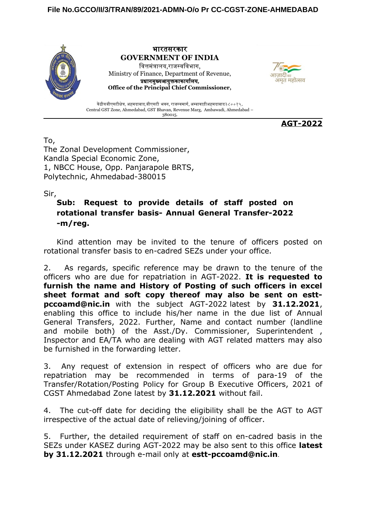

भारतसरकार **GOVERNMENT OF INDIA** वित्तमंत्रालय,राजस्वविभाग, Ministry of Finance, Department of Revenue, प्रधानमुख्यआयुक्तकाकार्यालय, **Office of the Principal Chief Commissioner,**



केंद्रीयजीएसटीक्षेत्र, अहमदाबाद,जीएसटी भवन, राजस्वमार्ग, अम्बावाड़ीअहमदाबाद३८००१५. Central GST Zone, Ahmedabad, GST Bhavan, Revenue Marg, Ambawadi, Ahmedabad – 380015.

**AGT-2022**

To,

The Zonal Development Commissioner, Kandla Special Economic Zone, 1, NBCC House, Opp. Panjarapole BRTS, Polytechnic, Ahmedabad-380015

Sir,

## **Sub: Request to provide details of staff posted on rotational transfer basis- Annual General Transfer-2022 -m/reg.**

Kind attention may be invited to the tenure of officers posted on rotational transfer basis to en-cadred SEZs under your office.

2. As regards, specific reference may be drawn to the tenure of the officers who are due for repatriation in AGT-2022. **It is requested to furnish the name and History of Posting of such officers in excel sheet format and soft copy thereof may also be sent on esttpccoamd@nic.in** with the subject AGT-2022 latest by **31.12.2021**, enabling this office to include his/her name in the due list of Annual General Transfers, 2022. Further, Name and contact number (landline and mobile both) of the Asst./Dy. Commissioner, Superintendent, Inspector and EA/TA who are dealing with AGT related matters may also be furnished in the forwarding letter.

3. Any request of extension in respect of officers who are due for repatriation may be recommended in terms of para-19 of the Transfer/Rotation/Posting Policy for Group B Executive Officers, 2021 of CGST Ahmedabad Zone latest by **31.12.2021** without fail.

4. The cut-off date for deciding the eligibility shall be the AGT to AGT irrespective of the actual date of relieving/joining of officer.

5. Further, the detailed requirement of staff on en-cadred basis in the SEZs under KASEZ during AGT-2022 may be also sent to this office **latest by 31.12.2021** through e-mail only at **estt-pccoamd@nic.in**.